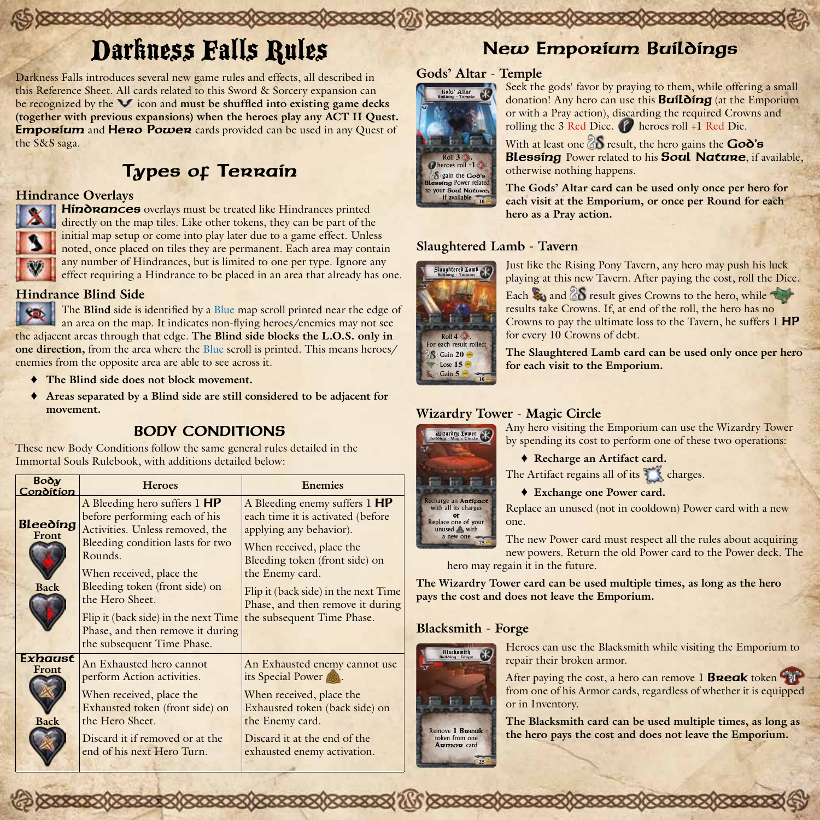# Darkness Falls Rules

Darkness Falls introduces several new game rules and effects, all described in this Reference Sheet. All cards related to this Sword & Sorcery expansion can be recognized by the **V** icon and **must be shuffled into existing game decks (together with previous expansions) when the heroes play any ACT II Quest. Emporium** and **Hero Power** cards provided can be used in any Quest of the S&S saga.

## Types of Terrain

#### **Hindrance Overlays**



Hindrances overlays must be treated like Hindrances printed directly on the map tiles. Like other tokens, they can be part of the initial map setup or come into play later due to a game effect. Unless noted, once placed on tiles they are permanent. Each area may contain any number of Hindrances, but is limited to one per type. Ignore any effect requiring a Hindrance to be placed in an area that already has one.

## **Hindrance Blind Side**

The **Blind** side is identified by a Blue map scroll printed near the edge of an area on the map. It indicates non-flying heroes/enemies may not see the adjacent areas through that edge. **The Blind side blocks the L.O.S. only in one direction,** from the area where the Blue scroll is printed. This means heroes/ enemies from the opposite area are able to see across it.

- ♦ **The Blind side does not block movement.**
- ♦ **Areas separated by a Blind side are still considered to be adjacent for movement.**

## BODY CONDITIONS

These new Body Conditions follow the same general rules detailed in the Immortal Souls Rulebook, with additions detailed below:

| Воду<br>Condition                | <b>Heroes</b>                                                                                                                                                                                                                                                                                                                              | <b>Enemies</b>                                                                                                                                                                                                                                                                           |        |
|----------------------------------|--------------------------------------------------------------------------------------------------------------------------------------------------------------------------------------------------------------------------------------------------------------------------------------------------------------------------------------------|------------------------------------------------------------------------------------------------------------------------------------------------------------------------------------------------------------------------------------------------------------------------------------------|--------|
| Bleeding<br>Front<br><b>Back</b> | A Bleeding hero suffers 1 HP<br>before performing each of his<br>Activities. Unless removed, the<br>Bleeding condition lasts for two<br>Rounds.<br>When received, place the<br>Bleeding token (front side) on<br>the Hero Sheet.<br>Flip it (back side) in the next Time<br>Phase, and then remove it during<br>the subsequent Time Phase. | A Bleeding enemy suffers 1 HP<br>each time it is activated (before<br>applying any behavior).<br>When received, place the<br>Bleeding token (front side) on<br>the Enemy card.<br>Flip it (back side) in the next Time<br>Phase, and then remove it during<br>the subsequent Time Phase. | ገ<br>F |
| Exhaust<br>Front<br><b>Back</b>  | An Exhausted hero cannot<br>perform Action activities.<br>When received, place the<br>Exhausted token (front side) on<br>the Hero Sheet.<br>Discard it if removed or at the<br>end of his next Hero Turn.                                                                                                                                  | An Exhausted enemy cannot use<br>its Special Power<br>When received, place the<br>Exhausted token (back side) on<br>the Enemy card.<br>Discard it at the end of the<br>exhausted enemy activation.                                                                                       |        |

## New Emporium Buildings

## **Gods' Altar - Temple**



Seek the gods' favor by praying to them, while offering a small donation! Any hero can use this **Building** (at the Emporium or with a Pray action), discarding the required Crowns and rolling the 3 Red Dice.  $\bullet$  heroes roll +1 Red Die.

With at least one  $\frac{2}{3}$  result, the hero gains the God's **Blessing** Power related to his **Soul Nature**, if available, otherwise nothing happens.

**The Gods' Altar card can be used only once per hero for each visit at the Emporium, or once per Round for each hero as a Pray action.**

## **Slaughtered Lamb - Tavern**



Just like the Rising Pony Tavern, any hero may push his luck playing at this new Tavern. After paying the cost, roll the Dice.

Each  $\mathbb{R}_3$  and  $\delta S$  result gives Crowns to the hero, while results take Crowns. If, at end of the roll, the hero has no Crowns to pay the ultimate loss to the Tavern, he suffers 1 HP for every 10 Crowns of debt.

**The Slaughtered Lamb card can be used only once per hero for each visit to the Emporium.**

## **Wizardry Tower - Magic Circle**

Any hero visiting the Emporium can use the Wizardry Tower by spending its cost to perform one of these two operations:

♦ **Recharge an Artifact card.**

The Artifact regains all of its charges.

♦ **Exchange one Power card.**

Replace an unused (not in cooldown) Power card with a new one.

The new Power card must respect all the rules about acquiring new powers. Return the old Power card to the Power deck. The hero may regain it in the future.

**The Wizardry Tower card can be used multiple times, as long as the hero pays the cost and does not leave the Emporium.**

## **Blacksmith - Forge**



Heroes can use the Blacksmith while visiting the Emporium to repair their broken armor.

After paying the cost, a hero can remove  $1$  **Break** token from one of his Armor cards, regardless of whether it is equipped or in Inventory.

**The Blacksmith card can be used multiple times, as long as the hero pays the cost and does not leave the Emporium.**



Wizardry Tower Building - Magic Circle